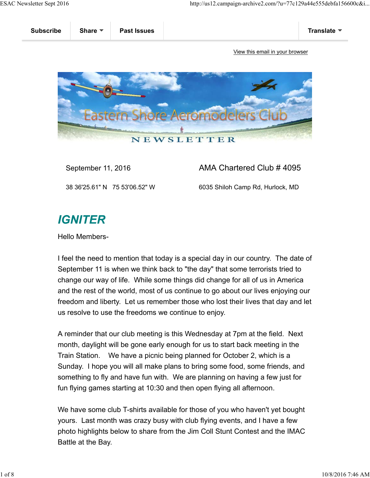

September 11, 2016 **AMA Chartered Club # 4095** 

38 36'25.61" N 75 53'06.52" W 6035 Shiloh Camp Rd, Hurlock, MD

# **IGNITER**

Hello Members-

I feel the need to mention that today is a special day in our country. The date of September 11 is when we think back to "the day" that some terrorists tried to change our way of life. While some things did change for all of us in America and the rest of the world, most of us continue to go about our lives enjoying our freedom and liberty. Let us remember those who lost their lives that day and let us resolve to use the freedoms we continue to enjoy.

A reminder that our club meeting is this Wednesday at 7pm at the field. Next month, daylight will be gone early enough for us to start back meeting in the Train Station. We have a picnic being planned for October 2, which is a Sunday. I hope you will all make plans to bring some food, some friends, and something to fly and have fun with. We are planning on having a few just for fun flying games starting at 10:30 and then open flying all afternoon.

We have some club T-shirts available for those of you who haven't yet bought yours. Last month was crazy busy with club flying events, and I have a few photo highlights below to share from the Jim Coll Stunt Contest and the IMAC Battle at the Bay.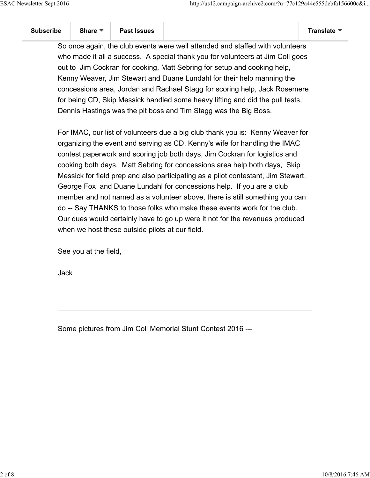So once again, the club events were well attended and staffed with volunteers who made it all a success. A special thank you for volunteers at Jim Coll goes out to Jim Cockran for cooking, Matt Sebring for setup and cooking help, Kenny Weaver, Jim Stewart and Duane Lundahl for their help manning the concessions area, Jordan and Rachael Stagg for scoring help, Jack Rosemere for being CD, Skip Messick handled some heavy lifting and did the pull tests, Dennis Hastings was the pit boss and Tim Stagg was the Big Boss.

For IMAC, our list of volunteers due a big club thank you is: Kenny Weaver for organizing the event and serving as CD, Kenny's wife for handling the IMAC contest paperwork and scoring job both days, Jim Cockran for logistics and cooking both days, Matt Sebring for concessions area help both days, Skip Messick for field prep and also participating as a pilot contestant, Jim Stewart, George Fox and Duane Lundahl for concessions help. If you are a club member and not named as a volunteer above, there is still something you can do -- Say THANKS to those folks who make these events work for the club. Our dues would certainly have to go up were it not for the revenues produced when we host these outside pilots at our field.

See you at the field,

Jack

Some pictures from Jim Coll Memorial Stunt Contest 2016 ---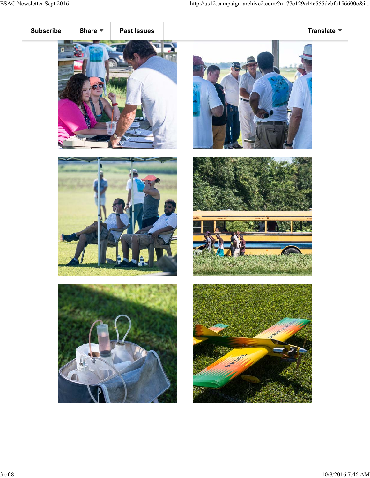











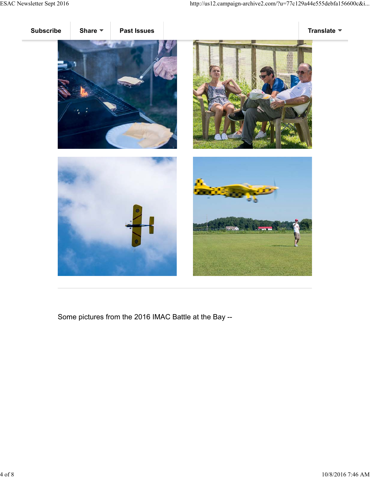

Some pictures from the 2016 IMAC Battle at the Bay --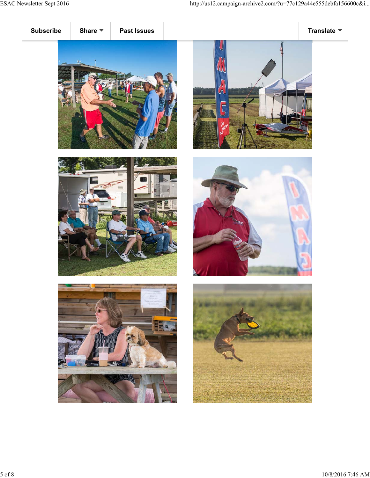









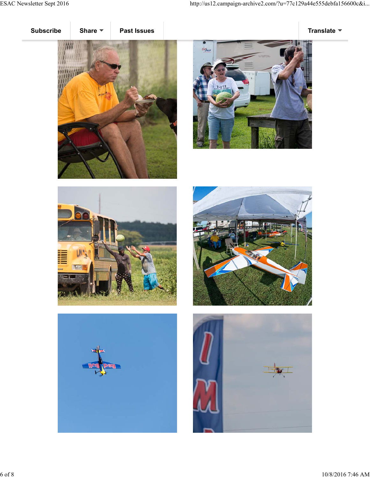









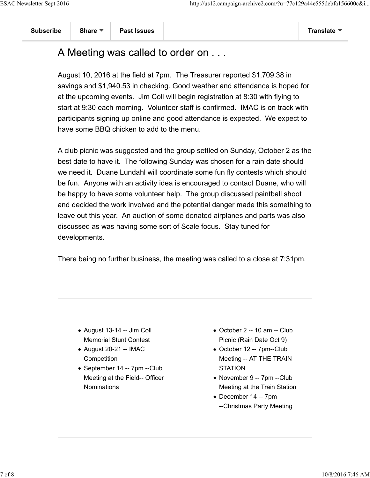## A Meeting was called to order on . . .

August 10, 2016 at the field at 7pm. The Treasurer reported \$1,709.38 in savings and \$1,940.53 in checking. Good weather and attendance is hoped for at the upcoming events. Jim Coll will begin registration at 8:30 with flying to start at 9:30 each morning. Volunteer staff is confirmed. IMAC is on track with participants signing up online and good attendance is expected. We expect to have some BBQ chicken to add to the menu.

A club picnic was suggested and the group settled on Sunday, October 2 as the best date to have it. The following Sunday was chosen for a rain date should we need it. Duane Lundahl will coordinate some fun fly contests which should be fun. Anyone with an activity idea is encouraged to contact Duane, who will be happy to have some volunteer help. The group discussed paintball shoot and decided the work involved and the potential danger made this something to leave out this year. An auction of some donated airplanes and parts was also discussed as was having some sort of Scale focus. Stay tuned for developments.

There being no further business, the meeting was called to a close at 7:31pm.

- August 13-14 -- Jim Coll Memorial Stunt Contest
- August 20-21 -- IMAC **Competition**
- September 14 -- 7pm --Club Meeting at the Field-- Officer Nominations
- $\bullet$  October 2 -- 10 am -- Club Picnic (Rain Date Oct 9)
- October 12 -- 7pm--Club Meeting -- AT THE TRAIN **STATION**
- November 9 -- 7pm --Club Meeting at the Train Station
- December 14 -- 7pm --Christmas Party Meeting